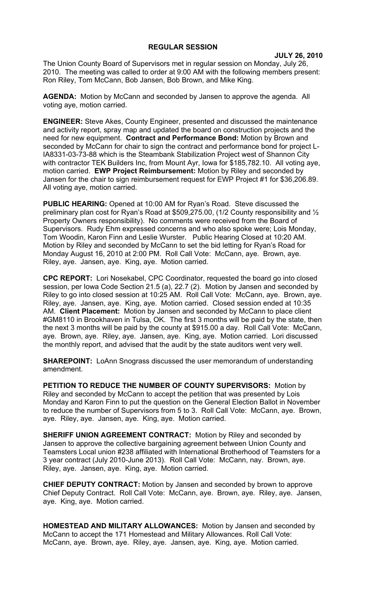## **REGULAR SESSION**

**JULY 26, 2010**

The Union County Board of Supervisors met in regular session on Monday, July 26, 2010. The meeting was called to order at 9:00 AM with the following members present: Ron Riley, Tom McCann, Bob Jansen, Bob Brown, and Mike King.

**AGENDA:** Motion by McCann and seconded by Jansen to approve the agenda. All voting aye, motion carried.

**ENGINEER:** Steve Akes, County Engineer, presented and discussed the maintenance and activity report, spray map and updated the board on construction projects and the need for new equipment. **Contract and Performance Bond:** Motion by Brown and seconded by McCann for chair to sign the contract and performance bond for project L-IA8331-03-73-88 which is the Steambank Stabilization Project west of Shannon City with contractor TEK Builders Inc, from Mount Ayr, Iowa for \$185,782.10. All voting aye, motion carried. **EWP Project Reimbursement:** Motion by Riley and seconded by Jansen for the chair to sign reimbursement request for EWP Project #1 for \$36,206.89. All voting aye, motion carried.

**PUBLIC HEARING:** Opened at 10:00 AM for Ryan's Road. Steve discussed the preliminary plan cost for Ryan's Road at \$509,275.00, (1/2 County responsibility and ½ Property Owners responsibility). No comments were received from the Board of Supervisors. Rudy Ehm expressed concerns and who also spoke were; Lois Monday, Tom Woodin, Karon Finn and Leslie Wurster. Public Hearing Closed at 10:20 AM. Motion by Riley and seconded by McCann to set the bid letting for Ryan's Road for Monday August 16, 2010 at 2:00 PM. Roll Call Vote: McCann, aye. Brown, aye. Riley, aye. Jansen, aye. King, aye. Motion carried.

**CPC REPORT:** Lori Nosekabel, CPC Coordinator, requested the board go into closed session, per Iowa Code Section 21.5 (a), 22.7 (2). Motion by Jansen and seconded by Riley to go into closed session at 10:25 AM. Roll Call Vote: McCann, aye. Brown, aye. Riley, aye. Jansen, aye. King, aye. Motion carried. Closed session ended at 10:35 AM. **Client Placement:** Motion by Jansen and seconded by McCann to place client #GM8110 in Brookhaven in Tulsa, OK. The first 3 months will be paid by the state, then the next 3 months will be paid by the county at \$915.00 a day. Roll Call Vote: McCann, aye. Brown, aye. Riley, aye. Jansen, aye. King, aye. Motion carried. Lori discussed the monthly report, and advised that the audit by the state auditors went very well.

**SHAREPOINT:** LoAnn Snograss discussed the user memorandum of understanding amendment.

**PETITION TO REDUCE THE NUMBER OF COUNTY SUPERVISORS:** Motion by Riley and seconded by McCann to accept the petition that was presented by Lois Monday and Karon Finn to put the question on the General Election Ballot in November to reduce the number of Supervisors from 5 to 3. Roll Call Vote: McCann, aye. Brown, aye. Riley, aye. Jansen, aye. King, aye. Motion carried.

**SHERIFF UNION AGREEMENT CONTRACT:** Motion by Riley and seconded by Jansen to approve the collective bargaining agreement between Union County and Teamsters Local union #238 affiliated with International Brotherhood of Teamsters for a 3 year contract (July 2010-June 2013). Roll Call Vote: McCann, nay. Brown, aye. Riley, aye. Jansen, aye. King, aye. Motion carried.

**CHIEF DEPUTY CONTRACT:** Motion by Jansen and seconded by brown to approve Chief Deputy Contract. Roll Call Vote: McCann, aye. Brown, aye. Riley, aye. Jansen, aye. King, aye. Motion carried.

**HOMESTEAD AND MILITARY ALLOWANCES:** Motion by Jansen and seconded by McCann to accept the 171 Homestead and Military Allowances. Roll Call Vote: McCann, aye. Brown, aye. Riley, aye. Jansen, aye. King, aye. Motion carried.